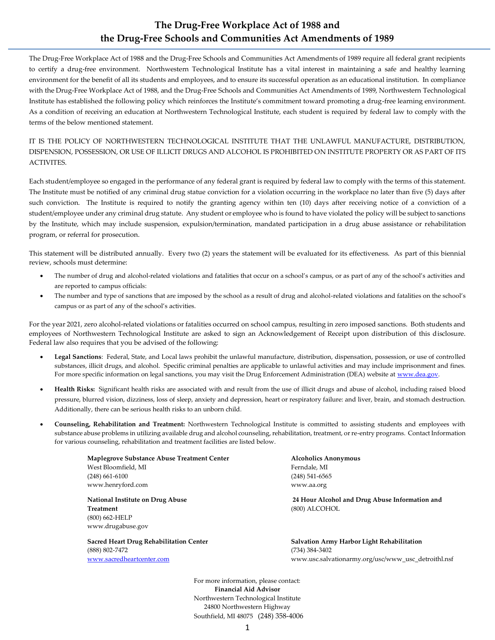# **The Drug-Free Workplace Act of 1988 and the Drug-Free Schools and Communities Act Amendments of 1989**

The Drug-Free Workplace Act of 1988 and the Drug-Free Schools and Communities Act Amendments of 1989 require all federal grant recipients to certify a drug-free environment. Northwestern Technological Institute has a vital interest in maintaining a safe and healthy learning environment for the benefit of all its students and employees, and to ensure its successful operation as an educational institution. In compliance with the Drug-Free Workplace Act of 1988, and the Drug-Free Schools and Communities Act Amendments of 1989, Northwestern Technological Institute has established the following policy which reinforces the Institute's commitment toward promoting a drug-free learning environment. As a condition of receiving an education at Northwestern Technological Institute, each student is required by federal law to comply with the terms of the below mentioned statement.

#### IT IS THE POLICY OF NORTHWESTERN TECHNOLOGICAL INSTITUTE THAT THE UNLAWFUL MANUFACTURE, DISTRIBUTION, DISPENSION, POSSESSION, OR USE OF ILLICIT DRUGS AND ALCOHOL IS PROHIBITED ON INSTITUTE PROPERTY OR AS PART OF ITS ACTIVITES.

Each student/employee so engaged in the performance of any federal grant is required by federal law to comply with the terms of this statement. The Institute must be notified of any criminal drug statue conviction for a violation occurring in the workplace no later than five (5) days after such conviction. The Institute is required to notify the granting agency within ten (10) days after receiving notice of a conviction of a student/employee under any criminal drug statute. Any student or employee who is found to have violated the policy will be subject to sanctions by the Institute, which may include suspension, expulsion/termination, mandated participation in a drug abuse assistance or rehabilitation program, or referral for prosecution.

This statement will be distributed annually. Every two (2) years the statement will be evaluated for its effectiveness. As part of this biennial review, schools must determine:

- The number of drug and alcohol-related violations and fatalities that occur on a school's campus, or as part of any of the school's activities and are reported to campus officials:
- The number and type of sanctions that are imposed by the school as a result of drug and alcohol-related violations and fatalities on the school's campus or as part of any of the school's activities.

For the year 2021, zero alcohol-related violations or fatalities occurred on school campus, resulting in zero imposed sanctions. Both students and employees of Northwestern Technological Institute are asked to sign an Acknowledgement of Receipt upon distribution of this disclosure. Federal law also requires that you be advised of the following:

- **Legal Sanctions**: Federal, State, and Local laws prohibit the unlawful manufacture, distribution, dispensation, possession, or use of controlled substances, illicit drugs, and alcohol. Specific criminal penalties are applicable to unlawful activities and may include imprisonment and fines. For more specific information on legal sanctions, you may visit the Drug Enforcement Administration (DEA) website a[t www.dea.gov.](http://www.dea.gov/)
- **Health Risks:** Significant health risks are associated with and result from the use of illicit drugs and abuse of alcohol, including raised blood pressure, blurred vision, dizziness, loss of sleep, anxiety and depression, heart or respiratory failure: and liver, brain, and stomach destruction. Additionally, there can be serious health risks to an unborn child.
- **Counseling, Rehabilitation and Treatment:** Northwestern Technological Institute is committed to assisting students and employees with substance abuse problems in utilizing available drug and alcohol counseling, rehabilitation, treatment, or re-entry programs. Contact Information for various counseling, rehabilitation and treatment facilities are listed below.

**Maplegrove Substance Abuse Treatment Center Alcoholics Anonymous** West Bloomfield, MI **Ferndale**, MI (248) 661-6100 (248) 541-6565 www.henryford.com www.aa.org

**Treatment** (800) ALCOHOL (800) 662-HELP www.drugabuse.gov

(888) 802-7472 (734) 384-3402

**National Institute on Drug Abuse 24 Hour Alcohol and Drug Abuse Information and** 

**Sacred Heart Drug Rehabilitation Center Salvation Army Harbor Light Rehabilitation**  [www.sacredheartcenter.com](http://www.sacredheartcenter.com/) www.usc.salvationarmy.org/usc/www\_usc\_detroithl.nsf

> For more information, please contact: **Financial Aid Advisor** Northwestern Technological Institute 24800 Northwestern Highway Southfield, MI 48075 (248) 358-4006